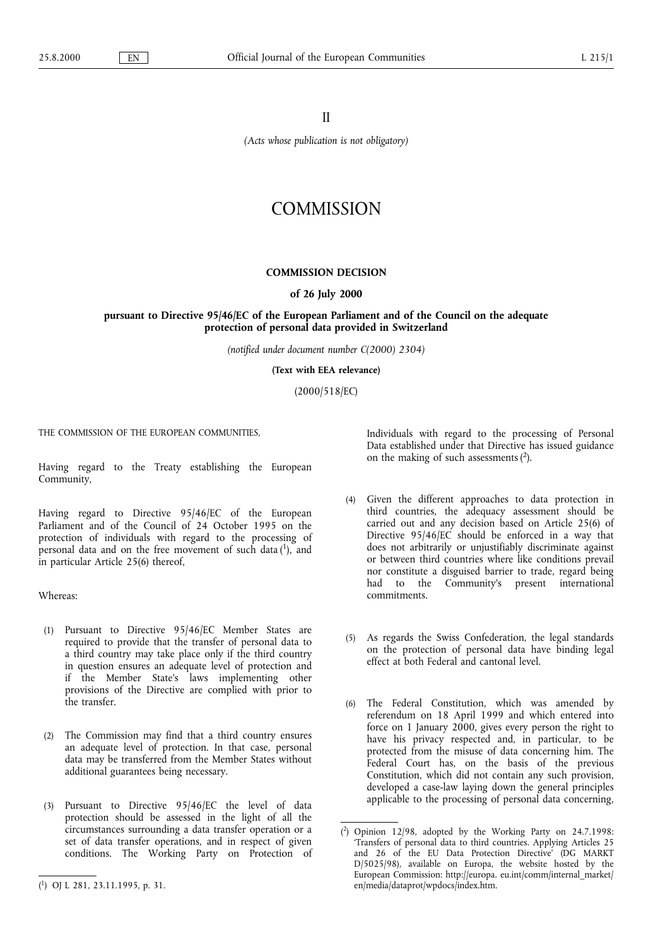II

(Acts whose publication is not obligatory)

# **COMMISSION**

# COMMISSION DECISION

# of 26 July 2000

# pursuant to Directive 95/46/EC of the European Parliament and of the Council on the adequate protection of personal data provided in Switzerland

(notified under document number C(2000) 2304)

(Text with EEA relevance)

(2000/518/EC)

THE COMMISSION OF THE EUROPEAN COMMUNITIES,

Having regard to the Treaty establishing the European Community,

Having regard to Directive 95/46/EC of the European Parliament and of the Council of 24 October 1995 on the protection of individuals with regard to the processing of personal data and on the free movement of such data (1), and in particular Article 25(6) thereof,

Whereas:

- (1) Pursuant to Directive 95/46/EC Member States are required to provide that the transfer of personal data to a third country may take place only if the third country in question ensures an adequate level of protection and if the Member State's laws implementing other provisions of the Directive are complied with prior to the transfer.
- (2) The Commission may find that a third country ensures an adequate level of protection. In that case, personal data may be transferred from the Member States without additional guarantees being necessary.
- (3) Pursuant to Directive 95/46/EC the level of data protection should be assessed in the light of all the circumstances surrounding a data transfer operation or a set of data transfer operations, and in respect of given conditions. The Working Party on Protection of

Individuals with regard to the processing of Personal Data established under that Directive has issued guidance on the making of such assessments  $(2)$ .

- (4) Given the different approaches to data protection in third countries, the adequacy assessment should be carried out and any decision based on Article 25(6) of Directive 95/46/EC should be enforced in a way that does not arbitrarily or unjustifiably discriminate against or between third countries where like conditions prevail nor constitute a disguised barrier to trade, regard being Community's present international commitments.
- (5) As regards the Swiss Confederation, the legal standards on the protection of personal data have binding legal effect at both Federal and cantonal level.
- (6) The Federal Constitution, which was amended by referendum on 18 April 1999 and which entered into force on 1 January 2000, gives every person the right to have his privacy respected and, in particular, to be protected from the misuse of data concerning him. The Federal Court has, on the basis of the previous Constitution, which did not contain any such provision, developed a case-law laying down the general principles applicable to the processing of personal data concerning,

<sup>(</sup> 1) OJ L 281, 23.11.1995, p. 31.

<sup>(</sup> 2) Opinion 12/98, adopted by the Working Party on 24.7.1998: Transfers of personal data to third countries. Applying Articles 25 and 26 of the EU Data Protection Directive' (DG MARKT D/5025/98), available on Europa, the website hosted by the European Commission: http://europa. eu.int/comm/internal\_market/ en/media/dataprot/wpdocs/index.htm.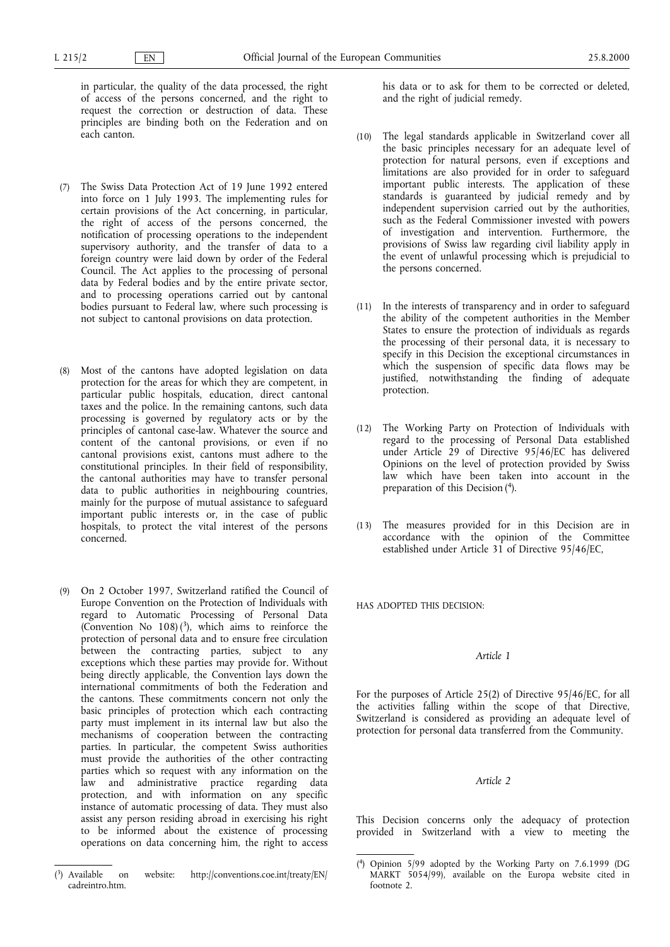in particular, the quality of the data processed, the right of access of the persons concerned, and the right to request the correction or destruction of data. These principles are binding both on the Federation and on each canton.

- (7) The Swiss Data Protection Act of 19 June 1992 entered into force on 1 July 1993. The implementing rules for certain provisions of the Act concerning, in particular, the right of access of the persons concerned, the notification of processing operations to the independent supervisory authority, and the transfer of data to a foreign country were laid down by order of the Federal Council. The Act applies to the processing of personal data by Federal bodies and by the entire private sector, and to processing operations carried out by cantonal bodies pursuant to Federal law, where such processing is not subject to cantonal provisions on data protection.
- (8) Most of the cantons have adopted legislation on data protection for the areas for which they are competent, in particular public hospitals, education, direct cantonal taxes and the police. In the remaining cantons, such data processing is governed by regulatory acts or by the principles of cantonal case-law. Whatever the source and content of the cantonal provisions, or even if no cantonal provisions exist, cantons must adhere to the constitutional principles. In their field of responsibility, the cantonal authorities may have to transfer personal data to public authorities in neighbouring countries, mainly for the purpose of mutual assistance to safeguard important public interests or, in the case of public hospitals, to protect the vital interest of the persons concerned.
- (9) On 2 October 1997, Switzerland ratified the Council of Europe Convention on the Protection of Individuals with regard to Automatic Processing of Personal Data (Convention No  $108$ )<sup>(3</sup>), which aims to reinforce the protection of personal data and to ensure free circulation between the contracting parties, subject to any exceptions which these parties may provide for. Without being directly applicable, the Convention lays down the international commitments of both the Federation and the cantons. These commitments concern not only the basic principles of protection which each contracting party must implement in its internal law but also the mechanisms of cooperation between the contracting parties. In particular, the competent Swiss authorities must provide the authorities of the other contracting parties which so request with any information on the law and administrative practice regarding data protection, and with information on any specific instance of automatic processing of data. They must also assist any person residing abroad in exercising his right to be informed about the existence of processing operations on data concerning him, the right to access

his data or to ask for them to be corrected or deleted, and the right of judicial remedy.

- (10) The legal standards applicable in Switzerland cover all the basic principles necessary for an adequate level of protection for natural persons, even if exceptions and limitations are also provided for in order to safeguard important public interests. The application of these standards is guaranteed by judicial remedy and by independent supervision carried out by the authorities, such as the Federal Commissioner invested with powers of investigation and intervention. Furthermore, the provisions of Swiss law regarding civil liability apply in the event of unlawful processing which is prejudicial to the persons concerned.
- (11) In the interests of transparency and in order to safeguard the ability of the competent authorities in the Member States to ensure the protection of individuals as regards the processing of their personal data, it is necessary to specify in this Decision the exceptional circumstances in which the suspension of specific data flows may be justified, notwithstanding the finding of adequate protection.
- (12) The Working Party on Protection of Individuals with regard to the processing of Personal Data established under Article 29 of Directive 95/46/EC has delivered Opinions on the level of protection provided by Swiss law which have been taken into account in the preparation of this Decision ( 4).
- (13) The measures provided for in this Decision are in accordance with the opinion of the Committee established under Article 31 of Directive 95/46/EC,

HAS ADOPTED THIS DECISION:

# Article 1

For the purposes of Article 25(2) of Directive 95/46/EC, for all the activities falling within the scope of that Directive, Switzerland is considered as providing an adequate level of protection for personal data transferred from the Community.

### Article 2

This Decision concerns only the adequacy of protection provided in Switzerland with a view to meeting the

 $(3)$  Available on website: http://conventions.coe.int/treaty/EN/ cadreintro.htm.

<sup>(</sup> 4) Opinion 5/99 adopted by the Working Party on 7.6.1999 (DG MARKT 5054/99), available on the Europa website cited in footnote 2.